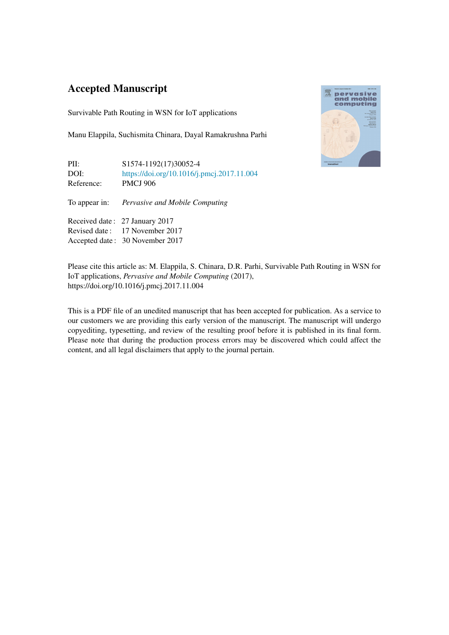### Accepted Manuscript

Survivable Path Routing in WSN for IoT applications

Manu Elappila, Suchismita Chinara, Dayal Ramakrushna Parhi

| PII:<br>DOI:<br>Reference: | S1574-1192(17)30052-4<br>https://doi.org/10.1016/j.pmcj.2017.11.004<br><b>PMCJ 906</b>              |
|----------------------------|-----------------------------------------------------------------------------------------------------|
|                            | To appear in: Pervasive and Mobile Computing                                                        |
|                            | Received date: 27 January 2017<br>Revised date: 17 November 2017<br>Accepted date: 30 November 2017 |



Please cite this article as: M. Elappila, S. Chinara, D.R. Parhi, Survivable Path Routing in WSN for IoT applications, *Pervasive and Mobile Computing* (2017), https://doi.org/10.1016/j.pmcj.2017.11.004

This is a PDF file of an unedited manuscript that has been accepted for publication. As a service to our customers we are providing this early version of the manuscript. The manuscript will undergo copyediting, typesetting, and review of the resulting proof before it is published in its final form. Please note that during the production process errors may be discovered which could affect the content, and all legal disclaimers that apply to the journal pertain.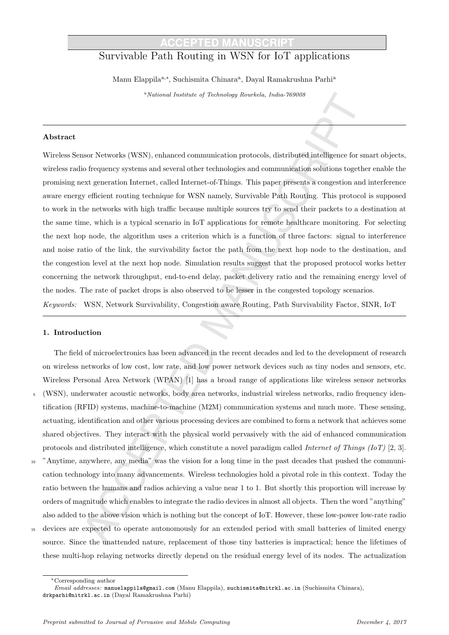## Survivable Path Routing in WSN for IoT applications

Manu Elappila<sup>a,∗</sup>, Suchismita Chinara<sup>a</sup>, Dayal Ramakrushna Parhi<sup>a</sup>

<sup>a</sup>National Institute of Technology Rourkela, India-769008

#### Abstract

Wireless Sensor Networks (WSN), enhanced communication protocols, distributed intelligence for smart objects, wireless radio frequency systems and several other technologies and communication solutions together enable the promising next generation Internet, called Internet-of-Things. This paper presents a congestion and interference aware energy efficient routing technique for WSN namely, Survivable Path Routing. This protocol is supposed to work in the networks with high traffic because multiple sources try to send their packets to a destination at the same time, which is a typical scenario in IoT applications for remote healthcare monitoring. For selecting the next hop node, the algorithm uses a criterion which is a function of three factors: signal to interference and noise ratio of the link, the survivability factor the path from the next hop node to the destination, and the congestion level at the next hop node. Simulation results suggest that the proposed protocol works better concerning the network throughput, end-to-end delay, packet delivery ratio and the remaining energy level of the nodes. The rate of packet drops is also observed to be lesser in the congested topology scenarios. Keywords: WSN, Network Survivability, Congestion aware Routing, Path Survivability Factor, SINR, IoT

### 1. Introduction

The field of microelectronics has been advanced in the recent decades and led to the development of research on wireless networks of low cost, low rate, and low power network devices such as tiny nodes and sensors, etc. Wireless Personal Area Network (WPAN) [1] has a broad range of applications like wireless sensor networks <sup>5</sup> (WSN), underwater acoustic networks, body area networks, industrial wireless networks, radio frequency identification (RFID) systems, machine-to-machine (M2M) communication systems and much more. These sensing, actuating, identification and other various processing devices are combined to form a network that achieves some shared objectives. They interact with the physical world pervasively with the aid of enhanced communication protocols and distributed intelligence, which constitute a novel paradigm called *Internet of Things (IoT)* [2, 3].

- <sup>10</sup> "Anytime, anywhere, any media" was the vision for a long time in the past decades that pushed the communication technology into many advancements. Wireless technologies hold a pivotal role in this context. Today the ratio between the humans and radios achieving a value near 1 to 1. But shortly this proportion will increase by orders of magnitude which enables to integrate the radio devices in almost all objects. Then the word "anything" also added to the above vision which is nothing but the concept of IoT. However, these low-power low-rate radio
- <sup>15</sup> devices are expected to operate autonomously for an extended period with small batteries of limited energy source. Since the unattended nature, replacement of those tiny batteries is impractical; hence the lifetimes of these multi-hop relaying networks directly depend on the residual energy level of its nodes. The actualization

<sup>∗</sup>Corresponding author

Email addresses: manuelappila@gmail.com (Manu Elappila), suchismita@nitrkl.ac.in (Suchismita Chinara), drkparhi@nitrkl.ac.in (Dayal Ramakrushna Parhi)